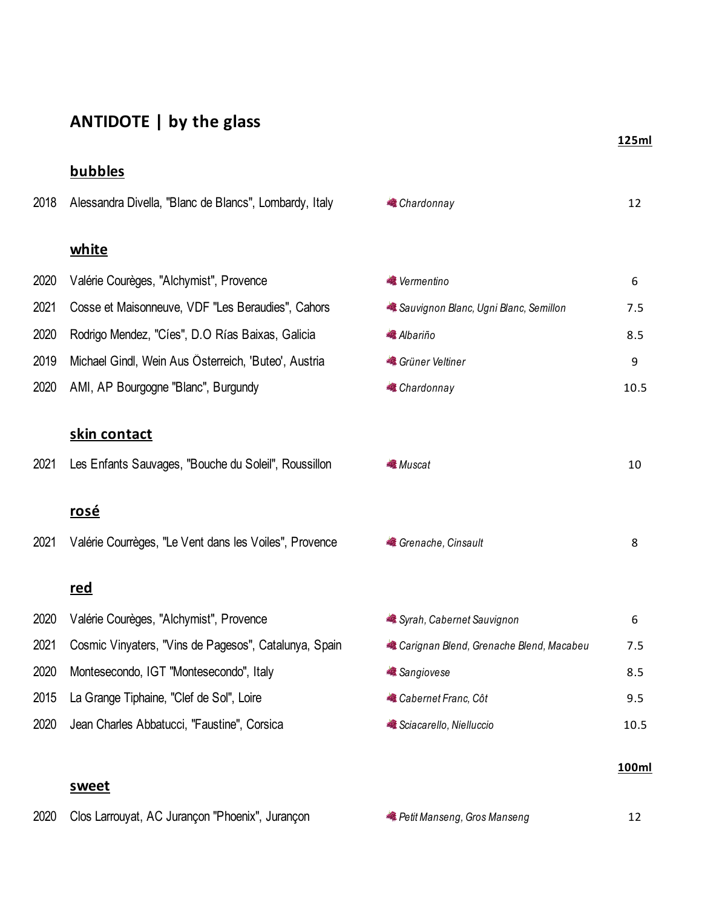# **ANTIDOTE | by the glass**

## **bubbles**

2018 Alessandra Divella, "Blanc de Blancs", Lombardy, Italy

### **white**

### 2020 Valérie Courèges, "Alchymist", Provence

- 2021 Cosse et Maisonneuve, VDF "Les Beraudies", Cahors
- 2020 Rodrigo Mendez, "Cíes", D.O Rías Baixas, Galicia
- 2019 Michael Gindl, Wein Aus Österreich, 'Buteo', Austria
- 2020 AMI, AP Bourgogne "Blanc", Burgundy

## **skin contact**

2021 Les Enfants Sauvages, "Bouche du Soleil", Roussillon

#### **rosé**

2021 Valérie Courrèges, "Le Vent dans les Voiles", Provence

#### **red**

- <sup>2020</sup> Valérie Courèges, "Alchymist", Provence
- 2021 Cosmic Vinyaters, "Vins de Pagesos", Catalunya, Spain
- 2020 Montesecondo, IGT "Montesecondo", Italy
- 2015 La Grange Tiphaine, "Clef de Sol", Loire
- 2020 Jean Charles Abbatucci, "Faustine", Corsica

#### **sweet**

|  | 2020 Clos Larrouyat, AC Jurançon "Phoenix", Jurançon |  | <b>Petit Manseng, Gros Manseng</b> | 12 |
|--|------------------------------------------------------|--|------------------------------------|----|
|--|------------------------------------------------------|--|------------------------------------|----|

**a** Chardonnay **12** 

| <b>《</b> Vermentino                   |      |
|---------------------------------------|------|
| Sauvignon Blanc, Ugni Blanc, Semillon | 7.5  |
| <b>《 Albariño</b>                     | 8.5  |
| Grüner Veltiner                       | q    |
| <b>Chardonnay</b>                     | 10.5 |

| <b>《 Muscat</b> | 10 |
|-----------------|----|
|                 |    |

*a* Grenache, Cinsault 8

| Syrah, Cabernet Sauvignon               |      |
|-----------------------------------------|------|
| Carignan Blend, Grenache Blend, Macabeu | 7.5  |
| <b>■</b> Sangiovese                     | 8.5  |
| <b>Cabernet Franc, Côt</b>              | 9.5  |
| Sciacarello, Nielluccio                 | 10.5 |

#### **100ml**

#### **125ml**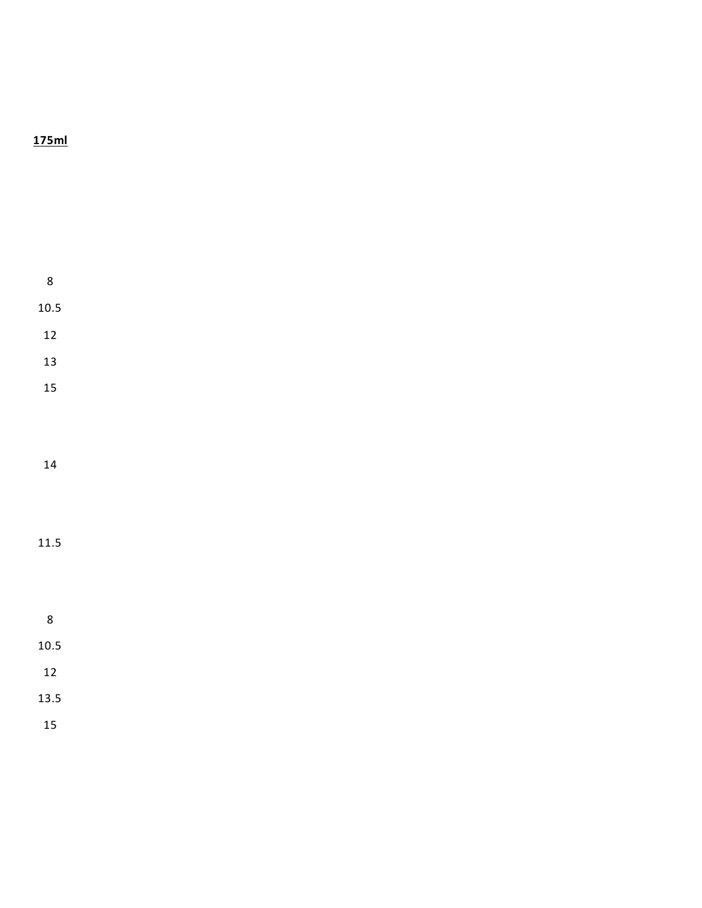## **175ml**

| $\bf 8$    |
|------------|
| $10.5\,$   |
|            |
| 12         |
| 13         |
| 15         |
|            |
|            |
|            |
| ${\bf 14}$ |
|            |
|            |
| 11.5       |
|            |
|            |
|            |
| $\bf 8$    |
| $10.5\,$   |
| 12         |
| 13.5       |
|            |
| 15         |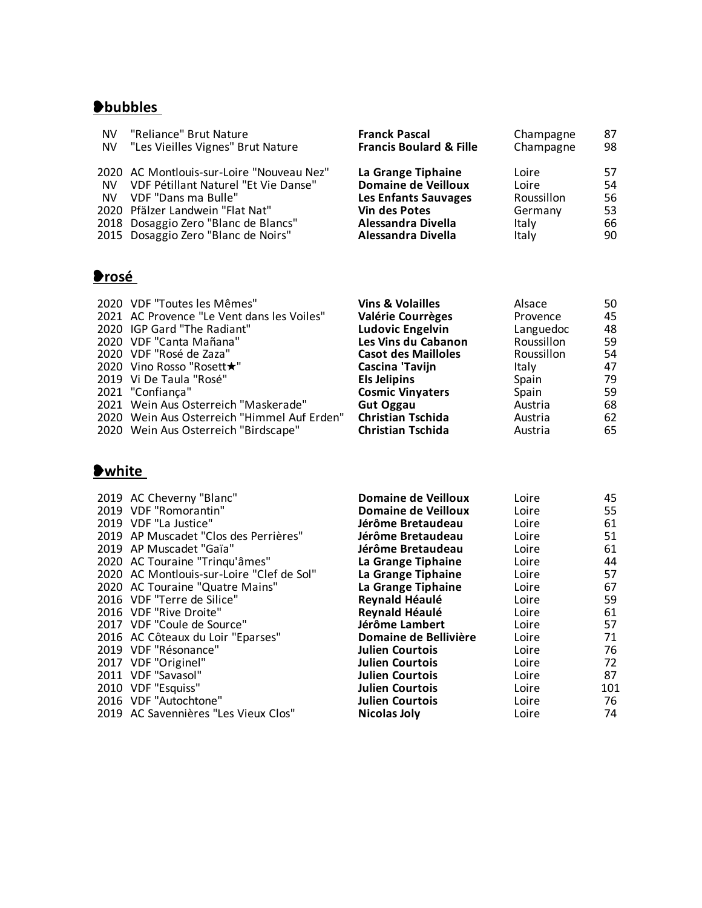# ❥**bubbles**

| "Reliance" Brut Nature<br><b>NV</b><br>"Les Vieilles Vignes" Brut Nature<br><b>NV</b>                                                                                                                                                     | <b>Franck Pascal</b><br><b>Francis Boulard &amp; Fille</b>                                                                                          | Champagne<br>Champagne                                    | 87<br>98                         |
|-------------------------------------------------------------------------------------------------------------------------------------------------------------------------------------------------------------------------------------------|-----------------------------------------------------------------------------------------------------------------------------------------------------|-----------------------------------------------------------|----------------------------------|
| 2020 AC Montlouis-sur-Loire "Nouveau Nez"<br>VDF Pétillant Naturel "Et Vie Danse"<br>NV.<br>VDF "Dans ma Bulle"<br>NV.<br>2020 Pfälzer Landwein "Flat Nat"<br>2018 Dosaggio Zero "Blanc de Blancs"<br>2015 Dosaggio Zero "Blanc de Noirs" | La Grange Tiphaine<br><b>Domaine de Veilloux</b><br><b>Les Enfants Sauvages</b><br><b>Vin des Potes</b><br>Alessandra Divella<br>Alessandra Divella | Loire<br>Loire<br>Roussillon<br>Germany<br>Italy<br>Italy | 57<br>54<br>56<br>53<br>66<br>90 |

# ❥**rosé**

| 2020 VDF "Toutes les Mêmes"                 | <b>Vins &amp; Volailles</b> | Alsace     | 50 |
|---------------------------------------------|-----------------------------|------------|----|
| 2021 AC Provence "Le Vent dans les Voiles"  | <b>Valérie Courrèges</b>    | Provence   | 45 |
| 2020 IGP Gard "The Radiant"                 | <b>Ludovic Engelvin</b>     | Languedoc  | 48 |
| 2020 VDF "Canta Mañana"                     | Les Vins du Cabanon         | Roussillon | 59 |
| 2020 VDF "Rosé de Zaza"                     | <b>Casot des Mailloles</b>  | Roussillon | 54 |
| 2020 Vino Rosso "Rosett★"                   | Cascina 'Tavijn             | Italy      | 47 |
| 2019 Vi De Taula "Rosé"                     | <b>Els Jelipins</b>         | Spain      | 79 |
| 2021 "Confiança"                            | <b>Cosmic Vinyaters</b>     | Spain      | 59 |
| 2021 Wein Aus Osterreich "Maskerade"        | <b>Gut Oggau</b>            | Austria    | 68 |
| 2020 Wein Aus Österreich "Himmel Auf Erden" | <b>Christian Tschida</b>    | Austria    | 62 |
| 2020 Wein Aus Österreich "Birdscape"        | <b>Christian Tschida</b>    | Austria    | 65 |
|                                             |                             |            |    |

# ❥**white**

| 2019 AC Cheverny "Blanc"                  | <b>Domaine de Veilloux</b> | Loire | 45  |
|-------------------------------------------|----------------------------|-------|-----|
| 2019 VDF "Romorantin"                     | Domaine de Veilloux        | Loire | 55  |
| 2019 VDF "La Justice"                     | Jérôme Bretaudeau          | Loire | 61  |
| 2019 AP Muscadet "Clos des Perrières"     | Jérôme Bretaudeau          | Loire | 51  |
| 2019 AP Muscadet "Gaïa"                   | Jérôme Bretaudeau          | Loire | 61  |
| 2020 AC Touraine "Tringu'âmes"            | La Grange Tiphaine         | Loire | 44  |
| 2020 AC Montlouis-sur-Loire "Clef de Sol" | La Grange Tiphaine         | Loire | 57  |
| 2020 AC Touraine "Quatre Mains"           | La Grange Tiphaine         | Loire | 67  |
| 2016 VDF "Terre de Silice"                | Reynald Héaulé             | Loire | 59  |
| 2016 VDF "Rive Droite"                    | Reynald Héaulé             | Loire | 61  |
| 2017 VDF "Coule de Source"                | Jérôme Lambert             | Loire | 57  |
| 2016 AC Côteaux du Loir "Eparses"         | Domaine de Bellivière      | Loire | 71  |
| 2019 VDF "Résonance"                      | <b>Julien Courtois</b>     | Loire | 76  |
| 2017 VDF "Originel"                       | <b>Julien Courtois</b>     | Loire | 72  |
| 2011 VDF "Savasol"                        | <b>Julien Courtois</b>     | Loire | 87  |
| 2010 VDF "Esquiss"                        | <b>Julien Courtois</b>     | Loire | 101 |
| 2016 VDF "Autochtone"                     | <b>Julien Courtois</b>     | Loire | 76  |
| 2019 AC Savennières "Les Vieux Clos"      | Nicolas Joly               | Loire | 74  |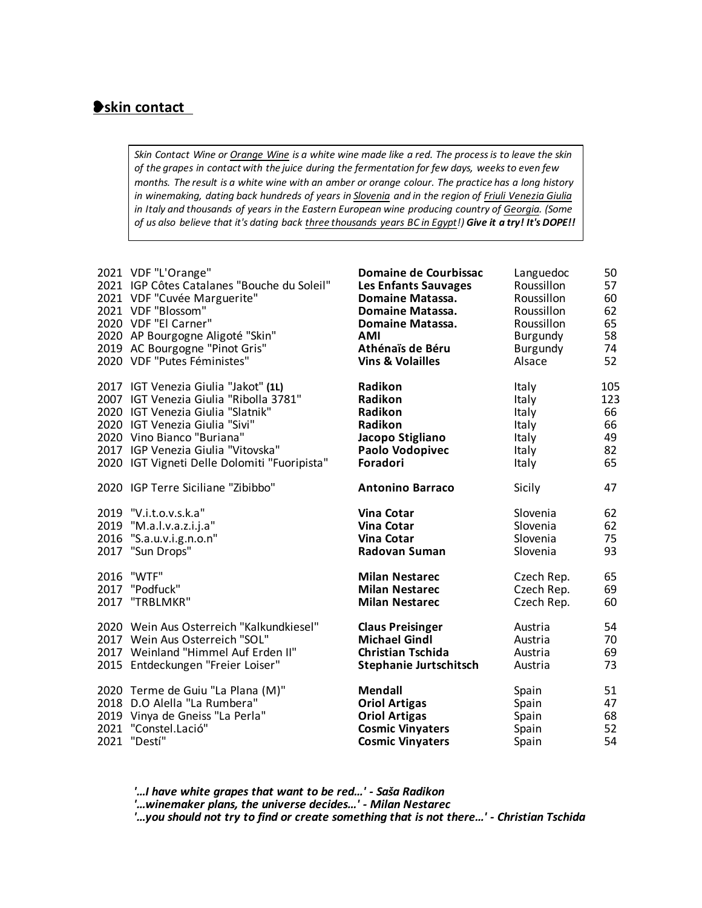### ❥**skin contact**

*Skin Contact Wine or Orange Wine is a white wine made like a red. The process is to leave the skin of the grapes in contact with the juice during the fermentation for few days, weeks to even few months. The result is a white wine with an amber or orange colour. The practice has a long history in winemaking, dating back hundreds of years in Slovenia and in the region of Friuli Venezia Giulia in Italy and thousands of years in the Eastern European wine producing country of Georgia. (Some of us also believe that it's dating back three thousands years BC in Egypt!) Give it a try! It's DOPE!!*

|      | 2021 VDF "L'Orange"                          | Domaine de Courbissac         | Languedoc       | 50  |
|------|----------------------------------------------|-------------------------------|-----------------|-----|
|      | 2021 IGP Côtes Catalanes "Bouche du Soleil"  | <b>Les Enfants Sauvages</b>   | Roussillon      | 57  |
|      | 2021 VDF "Cuvée Marguerite"                  | <b>Domaine Matassa.</b>       | Roussillon      | 60  |
|      | 2021 VDF "Blossom"                           | <b>Domaine Matassa.</b>       | Roussillon      | 62  |
|      | 2020 VDF "El Carner"                         | <b>Domaine Matassa.</b>       | Roussillon      | 65  |
|      | 2020 AP Bourgogne Aligoté "Skin"             | <b>AMI</b>                    | <b>Burgundy</b> | 58  |
|      | 2019 AC Bourgogne "Pinot Gris"               | Athénaïs de Béru              | Burgundy        | 74  |
|      | 2020 VDF "Putes Féministes"                  | <b>Vins &amp; Volailles</b>   | Alsace          | 52  |
|      | 2017 IGT Venezia Giulia "Jakot" (1L)         | Radikon                       | <b>Italy</b>    | 105 |
|      | 2007 IGT Venezia Giulia "Ribolla 3781"       | Radikon                       | Italy           | 123 |
|      | 2020 IGT Venezia Giulia "Slatnik"            | Radikon                       | Italy           | 66  |
|      | 2020 IGT Venezia Giulia "Sivi"               | Radikon                       | Italy           | 66  |
|      | 2020 Vino Bianco "Buriana"                   | Jacopo Stigliano              | Italy           | 49  |
|      | 2017 IGP Venezia Giulia "Vitovska"           | Paolo Vodopivec               | <b>Italy</b>    | 82  |
|      | 2020 IGT Vigneti Delle Dolomiti "Fuoripista" | <b>Foradori</b>               | Italy           | 65  |
|      | 2020 IGP Terre Siciliane "Zibibbo"           | <b>Antonino Barraco</b>       | Sicily          | 47  |
|      | 2019 "V.i.t.o.v.s.k.a"                       | <b>Vina Cotar</b>             | Slovenia        | 62  |
|      | 2019 "M.a.l.v.a.z.i.j.a"                     | Vina Cotar                    | Slovenia        | 62  |
|      | 2016 "S.a.u.v.i.g.n.o.n"                     | <b>Vina Cotar</b>             | Slovenia        | 75  |
|      | 2017 "Sun Drops"                             | Radovan Šuman                 | Slovenia        | 93  |
| 2016 | "WTF"                                        | <b>Milan Nestarec</b>         | Czech Rep.      | 65  |
|      | 2017 "Podfuck"                               | <b>Milan Nestarec</b>         | Czech Rep.      | 69  |
|      | 2017 "TRBLMKR"                               | <b>Milan Nestarec</b>         | Czech Rep.      | 60  |
|      | 2020 Wein Aus Osterreich "Kalkundkiesel"     | <b>Claus Preisinger</b>       | Austria         | 54  |
|      | 2017 Wein Aus Österreich "SOL"               | <b>Michael Gindl</b>          | Austria         | 70  |
|      | 2017 Weinland "Himmel Auf Erden II"          | <b>Christian Tschida</b>      | Austria         | 69  |
|      | 2015 Entdeckungen "Freier Loiser"            | <b>Stephanie Jurtschitsch</b> | Austria         | 73  |
| 2021 | 2020 Terme de Guiu "La Plana (M)"            | <b>Mendall</b>                | Spain           | 51  |
|      | 2018 D.O Alella "La Rumbera"                 | <b>Oriol Artigas</b>          | Spain           | 47  |
|      | 2019 Vinya de Gneiss "La Perla"              | <b>Oriol Artigas</b>          | Spain           | 68  |
|      | 2021 "Constel.Lació"                         | <b>Cosmic Vinyaters</b>       | Spain           | 52  |
|      | "Destí"                                      | <b>Cosmic Vinyaters</b>       | Spain           | 54  |

 *'…I have white grapes that want to be red…' - Saša Radikon*

 *'…winemaker plans, the universe decides…' - Milan Nestarec*

 *'…you should not try to find or create something that is not there…' - Christian Tschida*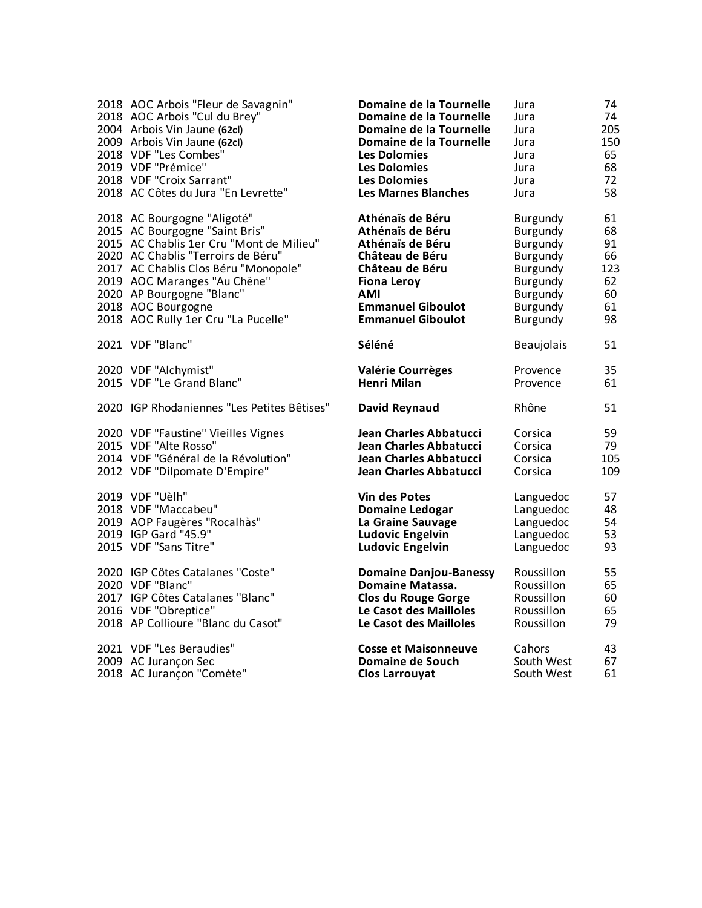| 2018 AOC Arbois "Fleur de Savagnin"         | Domaine de la Tournelle       | Jura            | 74  |
|---------------------------------------------|-------------------------------|-----------------|-----|
| 2018 AOC Arbois "Cul du Brey"               | Domaine de la Tournelle       | Jura            | 74  |
| 2004 Arbois Vin Jaune (62cl)                | Domaine de la Tournelle       | Jura            | 205 |
| 2009 Arbois Vin Jaune (62cl)                | Domaine de la Tournelle       | Jura            | 150 |
| 2018 VDF "Les Combes"                       | <b>Les Dolomies</b>           | Jura            | 65  |
| 2019 VDF "Prémice"                          | <b>Les Dolomies</b>           | Jura            | 68  |
| 2018 VDF "Croix Sarrant"                    | <b>Les Dolomies</b>           | Jura            | 72  |
| 2018 AC Côtes du Jura "En Levrette"         | <b>Les Marnes Blanches</b>    | Jura            | 58  |
| 2018 AC Bourgogne "Aligoté"                 | Athénaïs de Béru              | <b>Burgundy</b> | 61  |
| 2015 AC Bourgogne "Saint Bris"              | Athénaïs de Béru              | Burgundy        | 68  |
| 2015 AC Chablis 1er Cru "Mont de Milieu"    | Athénaïs de Béru              | Burgundy        | 91  |
| 2020 AC Chablis "Terroirs de Béru"          | Château de Béru               | Burgundy        | 66  |
| 2017 AC Chablis Clos Béru "Monopole"        | Château de Béru               | Burgundy        | 123 |
| 2019 AOC Maranges "Au Chêne"                | <b>Fiona Leroy</b>            | Burgundy        | 62  |
| 2020 AP Bourgogne "Blanc"                   | AMI                           | Burgundy        | 60  |
| 2018 AOC Bourgogne                          | <b>Emmanuel Giboulot</b>      | Burgundy        | 61  |
| 2018 AOC Rully 1er Cru "La Pucelle"         | <b>Emmanuel Giboulot</b>      | Burgundy        | 98  |
| 2021 VDF "Blanc"                            | Séléné                        | Beaujolais      | 51  |
| 2020 VDF "Alchymist"                        | Valérie Courrèges             | Provence        | 35  |
| 2015 VDF "Le Grand Blanc"                   | Henri Milan                   | Provence        | 61  |
| 2020 IGP Rhodaniennes "Les Petites Bêtises" | David Reynaud                 | Rhône           | 51  |
| 2020 VDF "Faustine" Vieilles Vignes         | Jean Charles Abbatucci        | Corsica         | 59  |
| 2015 VDF "Alte Rosso"                       | Jean Charles Abbatucci        | Corsica         | 79  |
| 2014 VDF "Général de la Révolution"         | Jean Charles Abbatucci        | Corsica         | 105 |
| 2012 VDF "Dilpomate D'Empire"               | Jean Charles Abbatucci        | Corsica         | 109 |
| 2019 VDF "Uèlh"                             | <b>Vin des Potes</b>          | Languedoc       | 57  |
| 2018 VDF "Maccabeu"                         | <b>Domaine Ledogar</b>        | Languedoc       | 48  |
| 2019 AOP Faugères "Rocalhàs"                | La Graine Sauvage             | Languedoc       | 54  |
| 2019 IGP Gard "45.9"                        | <b>Ludovic Engelvin</b>       | Languedoc       | 53  |
| 2015 VDF "Sans Titre"                       | <b>Ludovic Engelvin</b>       | Languedoc       | 93  |
| 2020 IGP Côtes Catalanes "Coste"            | <b>Domaine Danjou-Banessy</b> | Roussillon      | 55  |
| 2020 VDF "Blanc"                            | <b>Domaine Matassa.</b>       | Roussillon      | 65  |
| 2017 IGP Côtes Catalanes "Blanc"            | <b>Clos du Rouge Gorge</b>    | Roussillon      | 60  |
| 2016 VDF "Obreptice"                        | Le Casot des Mailloles        | Roussillon      | 65  |
| 2018 AP Collioure "Blanc du Casot"          | Le Casot des Mailloles        | Roussillon      | 79  |
| 2021 VDF "Les Beraudies"                    | <b>Cosse et Maisonneuve</b>   | Cahors          | 43  |
| 2009 AC Jurançon Sec                        | <b>Domaine de Souch</b>       | South West      | 67  |
| 2018 AC Jurançon "Comète"                   | <b>Clos Larrouyat</b>         | South West      | 61  |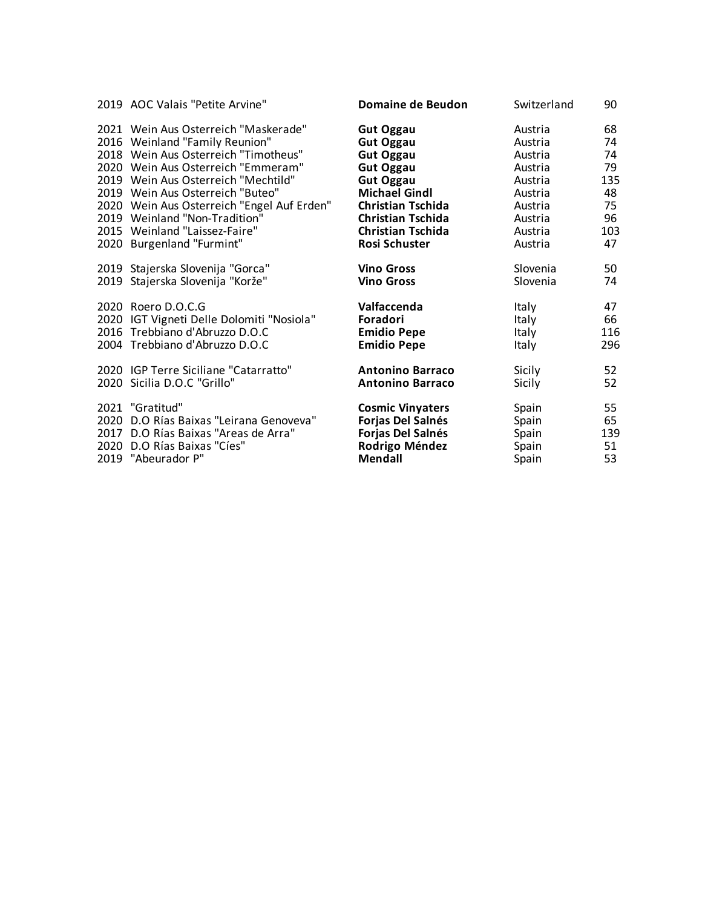| 2019 AOC Valais "Petite Arvine"            | Domaine de Beudon        | Switzerland | 90  |
|--------------------------------------------|--------------------------|-------------|-----|
| 2021 Wein Aus Österreich "Maskerade"       | <b>Gut Oggau</b>         | Austria     | 68  |
| 2016 Weinland "Family Reunion"             | <b>Gut Oggau</b>         | Austria     | 74  |
| 2018 Wein Aus Österreich "Timotheus"       | <b>Gut Oggau</b>         | Austria     | 74  |
| 2020 Wein Aus Osterreich "Emmeram"         | <b>Gut Oggau</b>         | Austria     | 79  |
| 2019 Wein Aus Österreich "Mechtild"        | <b>Gut Oggau</b>         | Austria     | 135 |
| 2019 Wein Aus Österreich "Buteo"           | <b>Michael Gindl</b>     | Austria     | 48  |
| 2020 Wein Aus Österreich "Engel Auf Erden" | <b>Christian Tschida</b> | Austria     | 75  |
| 2019 Weinland "Non-Tradition"              | <b>Christian Tschida</b> | Austria     | 96  |
| 2015 Weinland "Laissez-Faire"              | <b>Christian Tschida</b> | Austria     | 103 |
| 2020 Burgenland "Furmint"                  | <b>Rosi Schuster</b>     | Austria     | 47  |
| 2019 Stajerska Slovenija "Gorca"           | <b>Vino Gross</b>        | Slovenia    | 50  |
| 2019 Stajerska Slovenija "Korže"           | <b>Vino Gross</b>        | Slovenia    | 74  |
| 2020 Roero D.O.C.G                         | Valfaccenda              | Italy       | 47  |
| 2020 IGT Vigneti Delle Dolomiti "Nosiola"  | Foradori                 | Italy       | 66  |
| 2016 Trebbiano d'Abruzzo D.O.C             | <b>Emidio Pepe</b>       | Italy       | 116 |
| 2004 Trebbiano d'Abruzzo D.O.C             | <b>Emidio Pepe</b>       | Italy       | 296 |
| 2020 IGP Terre Siciliane "Catarratto"      | <b>Antonino Barraco</b>  | Sicily      | 52  |
| 2020 Sicilia D.O.C "Grillo"                | <b>Antonino Barraco</b>  | Sicily      | 52  |
| 2021 "Gratitud"                            | <b>Cosmic Vinyaters</b>  | Spain       | 55  |
| 2020 D.O Rías Baixas "Leirana Genoveva"    | Forjas Del Salnés        | Spain       | 65  |
| 2017 D.O Rías Baixas "Areas de Arra"       | Forjas Del Salnés        | Spain       | 139 |
| 2020 D.O Rías Baixas "Cíes"                | Rodrigo Méndez           | Spain       | 51  |
| 2019 "Abeurador P"                         | Mendall                  | Spain       | 53  |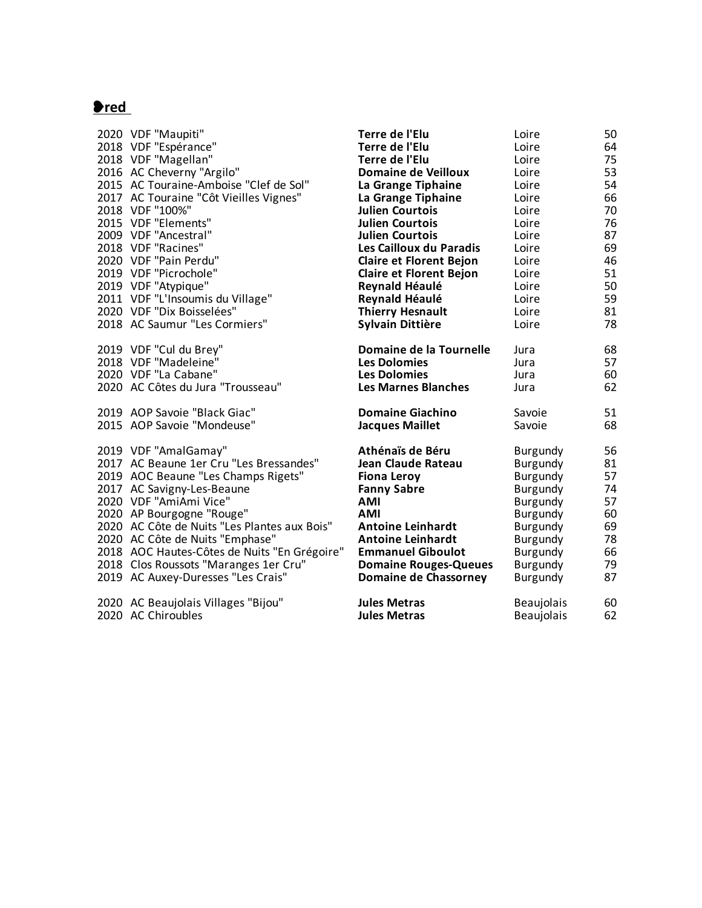# ❥**red**

| 2020 VDF "Maupiti"                           | Terre de l'Elu                 | Loire             | 50 |
|----------------------------------------------|--------------------------------|-------------------|----|
| 2018 VDF "Espérance"                         | Terre de l'Elu                 | Loire             | 64 |
| 2018 VDF "Magellan"                          | Terre de l'Élu                 | Loire             | 75 |
| 2016 AC Cheverny "Argilo"                    | <b>Domaine de Veilloux</b>     | Loire             | 53 |
| 2015 AC Touraine-Amboise "Clef de Sol"       | La Grange Tiphaine             | Loire             | 54 |
| 2017 AC Touraine "Côt Vieilles Vignes"       | La Grange Tiphaine             | Loire             | 66 |
| 2018 VDF "100%"                              | <b>Julien Courtois</b>         | Loire             | 70 |
| 2015 VDF "Elements"                          | <b>Julien Courtois</b>         | Loire             | 76 |
| 2009 VDF "Ancestral"                         | <b>Julien Courtois</b>         | Loire             | 87 |
| 2018 VDF "Racines"                           | Les Cailloux du Paradis        | Loire             | 69 |
| 2020 VDF "Pain Perdu"                        | <b>Claire et Florent Bejon</b> | Loire             | 46 |
| 2019 VDF "Picrochole"                        | <b>Claire et Florent Bejon</b> | Loire             | 51 |
| 2019 VDF "Atypique"                          | Reynald Héaulé                 | Loire             | 50 |
| 2011 VDF "L'Insoumis du Village"             | Reynald Héaulé                 | Loire             | 59 |
| 2020 VDF "Dix Boisselées"                    | <b>Thierry Hesnault</b>        | Loire             | 81 |
| 2018 AC Saumur "Les Cormiers"                | Sylvain Dittière               | Loire             | 78 |
| 2019 VDF "Cul du Brey"                       | Domaine de la Tournelle        | Jura              | 68 |
| 2018 VDF "Madeleine"                         | <b>Les Dolomies</b>            | Jura              | 57 |
| 2020 VDF "La Cabane"                         | <b>Les Dolomies</b>            | Jura              | 60 |
| 2020 AC Côtes du Jura "Trousseau"            | <b>Les Marnes Blanches</b>     | Jura              | 62 |
| 2019 AOP Savoie "Black Giac"                 | <b>Domaine Giachino</b>        | Savoie            | 51 |
| 2015 AOP Savoie "Mondeuse"                   | <b>Jacques Maillet</b>         | Savoie            | 68 |
| 2019 VDF "AmalGamay"                         | Athénaïs de Béru               | <b>Burgundy</b>   | 56 |
| 2017 AC Beaune 1er Cru "Les Bressandes"      | Jean Claude Rateau             | Burgundy          | 81 |
| 2019 AOC Beaune "Les Champs Rigets"          | <b>Fiona Leroy</b>             | Burgundy          | 57 |
| 2017 AC Savigny-Les-Beaune                   | <b>Fanny Sabre</b>             | <b>Burgundy</b>   | 74 |
| 2020 VDF "AmiAmi Vice"                       | AMI                            | Burgundy          | 57 |
| 2020 AP Bourgogne "Rouge"                    | <b>AMI</b>                     | Burgundy          | 60 |
| 2020 AC Côte de Nuits "Les Plantes aux Bois" | <b>Antoine Leinhardt</b>       | Burgundy          | 69 |
| 2020 AC Côte de Nuits "Emphase"              | <b>Antoine Leinhardt</b>       | Burgundy          | 78 |
| 2018 AOC Hautes-Côtes de Nuits "En Grégoire" | <b>Emmanuel Giboulot</b>       | Burgundy          | 66 |
| 2018 Clos Roussots "Maranges 1er Cru"        | <b>Domaine Rouges-Queues</b>   | <b>Burgundy</b>   | 79 |
| 2019 AC Auxey-Duresses "Les Crais"           | Domaine de Chassorney          | Burgundy          | 87 |
| 2020 AC Beaujolais Villages "Bijou"          | <b>Jules Metras</b>            | <b>Beaujolais</b> | 60 |
| 2020 AC Chiroubles                           | <b>Jules Metras</b>            | <b>Beaujolais</b> | 62 |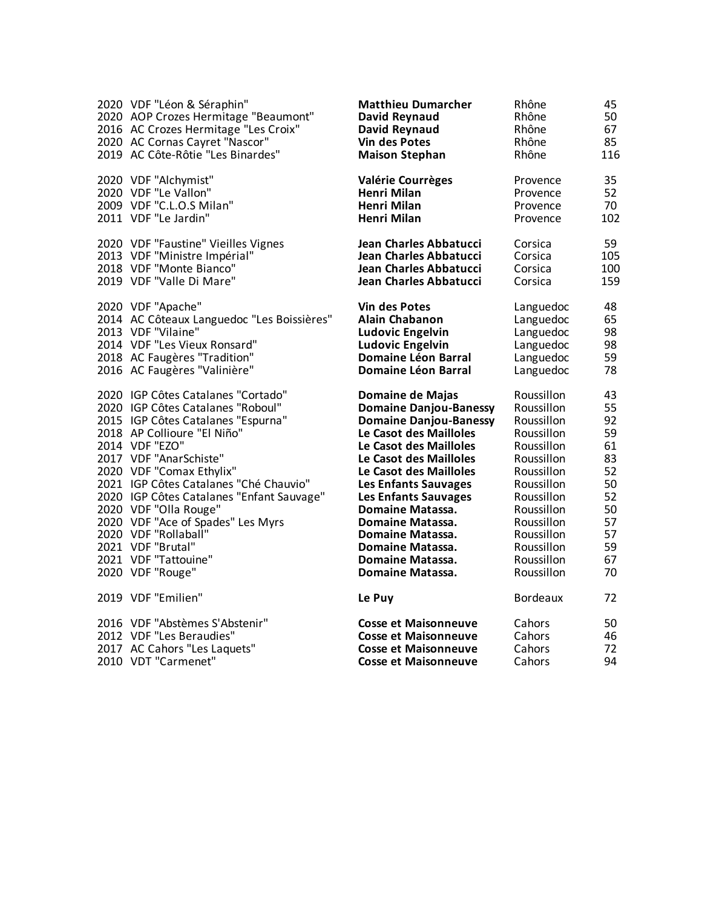| 2020 VDF "Léon & Séraphin"                 | <b>Matthieu Dumarcher</b>     | Rhône           | 45  |
|--------------------------------------------|-------------------------------|-----------------|-----|
| 2020 AOP Crozes Hermitage "Beaumont"       | David Reynaud                 | Rhône           | 50  |
| 2016 AC Crozes Hermitage "Les Croix"       | David Reynaud                 | Rhône           | 67  |
| 2020 AC Cornas Cayret "Nascor"             | <b>Vin des Potes</b>          | Rhône           | 85  |
| 2019 AC Côte-Rôtie "Les Binardes"          | <b>Maison Stephan</b>         | Rhône           | 116 |
| 2020 VDF "Alchymist"                       | <b>Valérie Courrèges</b>      | Provence        | 35  |
| 2020 VDF "Le Vallon"                       | <b>Henri Milan</b>            | Provence        | 52  |
| 2009 VDF "C.L.O.S Milan"                   | Henri Milan                   | Provence        | 70  |
| 2011 VDF "Le Jardin"                       | Henri Milan                   | Provence        | 102 |
| 2020 VDF "Faustine" Vieilles Vignes        | Jean Charles Abbatucci        | Corsica         | 59  |
| 2013 VDF "Ministre Impérial"               | Jean Charles Abbatucci        | Corsica         | 105 |
| 2018 VDF "Monte Bianco"                    | Jean Charles Abbatucci        | Corsica         | 100 |
| 2019 VDF "Valle Di Mare"                   | Jean Charles Abbatucci        | Corsica         | 159 |
| 2020 VDF "Apache"                          | <b>Vin des Potes</b>          | Languedoc       | 48  |
| 2014 AC Côteaux Languedoc "Les Boissières" | <b>Alain Chabanon</b>         | Languedoc       | 65  |
| 2013 VDF "Vilaine"                         | <b>Ludovic Engelvin</b>       | Languedoc       | 98  |
| 2014 VDF "Les Vieux Ronsard"               | <b>Ludovic Engelvin</b>       | Languedoc       | 98  |
| 2018 AC Faugères "Tradition"               | <b>Domaine Léon Barral</b>    | Languedoc       | 59  |
| 2016 AC Faugères "Valinière"               | <b>Domaine Léon Barral</b>    | Languedoc       | 78  |
| 2020 IGP Côtes Catalanes "Cortado"         | Domaine de Majas              | Roussillon      | 43  |
| 2020 IGP Côtes Catalanes "Roboul"          | <b>Domaine Danjou-Banessy</b> | Roussillon      | 55  |
| 2015 IGP Côtes Catalanes "Espurna"         | <b>Domaine Danjou-Banessy</b> | Roussillon      | 92  |
| 2018 AP Collioure "El Niño"                | Le Casot des Mailloles        | Roussillon      | 59  |
| 2014 VDF "EZO"                             | Le Casot des Mailloles        | Roussillon      | 61  |
| 2017 VDF "AnarSchiste"                     | Le Casot des Mailloles        | Roussillon      | 83  |
| 2020 VDF "Comax Ethylix"                   | Le Casot des Mailloles        | Roussillon      | 52  |
| 2021 IGP Côtes Catalanes "Ché Chauvio"     | Les Enfants Sauvages          | Roussillon      | 50  |
| 2020 IGP Côtes Catalanes "Enfant Sauvage"  | <b>Les Enfants Sauvages</b>   | Roussillon      | 52  |
| 2020 VDF "Olla Rouge"                      | Domaine Matassa.              | Roussillon      | 50  |
| 2020 VDF "Ace of Spades" Les Myrs          | Domaine Matassa.              | Roussillon      | 57  |
| 2020 VDF "Rollaball"                       | Domaine Matassa.              | Roussillon      | 57  |
| 2021 VDF "Brutal"                          | Domaine Matassa.              | Roussillon      | 59  |
| 2021 VDF "Tattouine"                       | Domaine Matassa.              | Roussillon      | 67  |
| 2020 VDF "Rouge"                           | Domaine Matassa.              | Roussillon      | 70  |
| 2019 VDF "Emilien"                         | Le Puy                        | <b>Bordeaux</b> | 72  |
| 2016 VDF "Abstèmes S'Abstenir"             | <b>Cosse et Maisonneuve</b>   | Cahors          | 50  |
| 2012 VDF "Les Beraudies"                   | <b>Cosse et Maisonneuve</b>   | Cahors          | 46  |
| 2017 AC Cahors "Les Laquets"               | <b>Cosse et Maisonneuve</b>   | Cahors          | 72  |
| 2010 VDT "Carmenet"                        | <b>Cosse et Maisonneuve</b>   | Cahors          | 94  |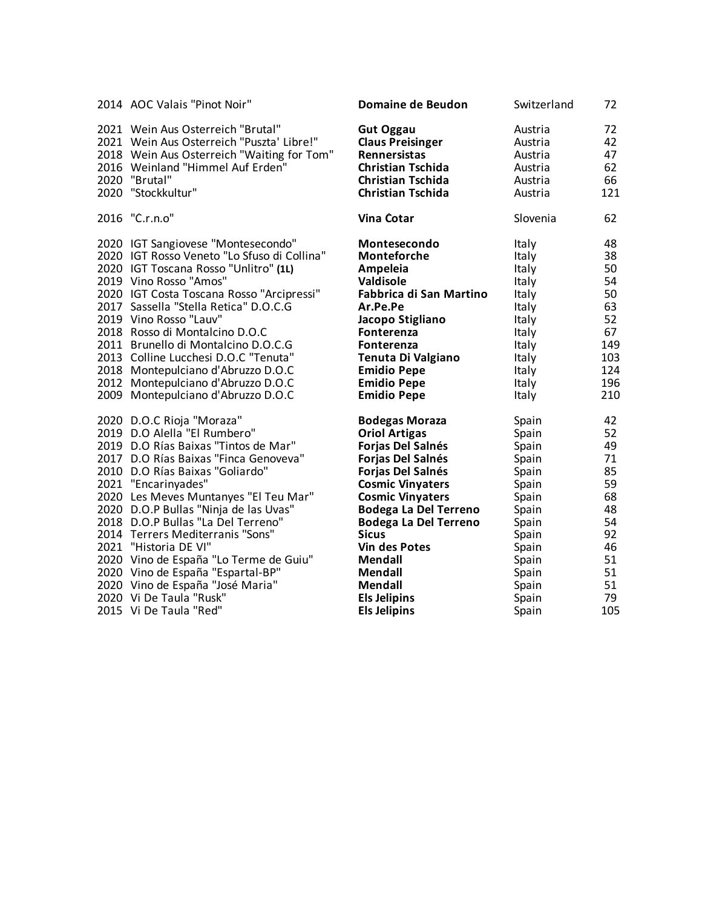| 2014 AOC Valais "Pinot Noir"                | Domaine de Beudon            | Switzerland | 72  |
|---------------------------------------------|------------------------------|-------------|-----|
| 2021 Wein Aus Österreich "Brutal"           | <b>Gut Oggau</b>             | Austria     | 72  |
| 2021 Wein Aus Osterreich "Puszta' Libre!"   | <b>Claus Preisinger</b>      | Austria     | 42  |
| 2018 Wein Aus Österreich "Waiting for Tom"  | <b>Rennersistas</b>          | Austria     | 47  |
| 2016 Weinland "Himmel Auf Erden"            | <b>Christian Tschida</b>     | Austria     | 62  |
| 2020 "Brutal"                               | <b>Christian Tschida</b>     | Austria     | 66  |
| 2020 "Stockkultur"                          | <b>Christian Tschida</b>     | Austria     | 121 |
| 2016 "C.r.n.o"                              | Vina Čotar                   | Slovenia    | 62  |
| 2020 IGT Sangiovese "Montesecondo"          | Montesecondo                 | Italy       | 48  |
| 2020 IGT Rosso Veneto "Lo Sfuso di Collina" | Monteforche                  | Italy       | 38  |
| 2020 IGT Toscana Rosso "Unlitro" (1L)       | Ampeleia                     | Italy       | 50  |
| 2019 Vino Rosso "Amos"                      | <b>Valdisole</b>             | Italy       | 54  |
| 2020 IGT Costa Toscana Rosso "Arcipressi"   | Fabbrica di San Martino      | Italy       | 50  |
| 2017 Sassella "Stella Retica" D.O.C.G       | Ar.Pe.Pe                     | Italy       | 63  |
| 2019 Vino Rosso "Lauv"                      | Jacopo Stigliano             | Italy       | 52  |
| 2018 Rosso di Montalcino D.O.C              | <b>Fonterenza</b>            | Italy       | 67  |
| 2011 Brunello di Montalcino D.O.C.G         | Fonterenza                   | Italy       | 149 |
| 2013 Colline Lucchesi D.O.C "Tenuta"        | Tenuta Di Valgiano           | Italy       | 103 |
| 2018 Montepulciano d'Abruzzo D.O.C          | <b>Emidio Pepe</b>           | Italy       | 124 |
| 2012 Montepulciano d'Abruzzo D.O.C          | <b>Emidio Pepe</b>           | Italy       | 196 |
| 2009 Montepulciano d'Abruzzo D.O.C          | <b>Emidio Pepe</b>           | Italy       | 210 |
| 2020 D.O.C Rioja "Moraza"                   | <b>Bodegas Moraza</b>        | Spain       | 42  |
| 2019 D.O Alella "El Rumbero"                | <b>Oriol Artigas</b>         | Spain       | 52  |
| 2019 D.O Rías Baixas "Tintos de Mar"        | Forjas Del Salnés            | Spain       | 49  |
| 2017 D.O Rías Baixas "Finca Genoveva"       | Forjas Del Salnés            | Spain       | 71  |
| 2010 D.O Rías Baixas "Goliardo"             | Forjas Del Salnés            | Spain       | 85  |
| 2021 "Encarinyades"                         | <b>Cosmic Vinyaters</b>      | Spain       | 59  |
| 2020 Les Meves Muntanyes "El Teu Mar"       | <b>Cosmic Vinyaters</b>      | Spain       | 68  |
| 2020 D.O.P Bullas "Ninja de las Uvas"       | <b>Bodega La Del Terreno</b> | Spain       | 48  |
| 2018 D.O.P Bullas "La Del Terreno"          | <b>Bodega La Del Terreno</b> | Spain       | 54  |
| 2014 Terrers Mediterranis "Sons"            | <b>Sicus</b>                 | Spain       | 92  |
| 2021 "Historia DE VI"                       | <b>Vin des Potes</b>         | Spain       | 46  |
| 2020 Vino de España "Lo Terme de Guiu"      | Mendall                      | Spain       | 51  |
| 2020 Vino de España "Espartal-BP"           | Mendall                      | Spain       | 51  |
| 2020 Vino de España "José Maria"            | <b>Mendall</b>               | Spain       | 51  |
| 2020 Vi De Taula "Rusk"                     | <b>Els Jelipins</b>          | Spain       | 79  |
| 2015 Vi De Taula "Red"                      | <b>Els Jelipins</b>          | Spain       | 105 |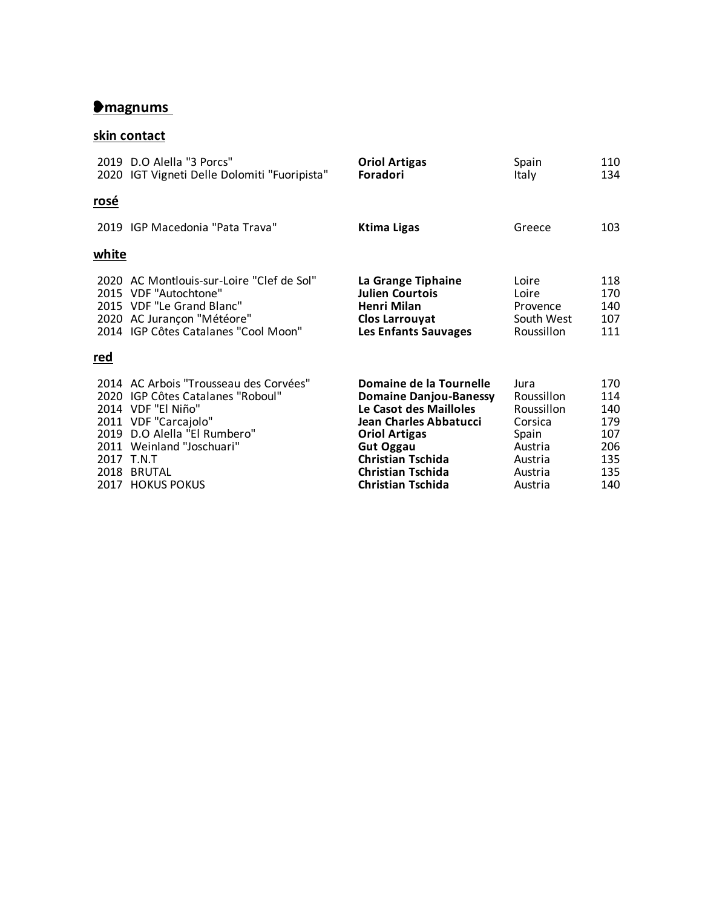# ❥**magnums**

# **skin contact**

|            | 2019 D.O Alella "3 Porcs"<br>2020 IGT Vigneti Delle Dolomiti "Fuoripista"                                                                                                                                                               | <b>Oriol Artigas</b><br>Foradori                                                                                                                                                                                                             | Spain<br>Italy                                                                                   | 110<br>134                                                  |
|------------|-----------------------------------------------------------------------------------------------------------------------------------------------------------------------------------------------------------------------------------------|----------------------------------------------------------------------------------------------------------------------------------------------------------------------------------------------------------------------------------------------|--------------------------------------------------------------------------------------------------|-------------------------------------------------------------|
| rosé       |                                                                                                                                                                                                                                         |                                                                                                                                                                                                                                              |                                                                                                  |                                                             |
|            | 2019 IGP Macedonia "Pata Trava"                                                                                                                                                                                                         | <b>Ktima Ligas</b>                                                                                                                                                                                                                           | Greece                                                                                           | 103                                                         |
| white      |                                                                                                                                                                                                                                         |                                                                                                                                                                                                                                              |                                                                                                  |                                                             |
|            | 2020 AC Montlouis-sur-Loire "Clef de Sol"<br>2015 VDF "Autochtone"<br>2015 VDF "Le Grand Blanc"<br>2020 AC Jurançon "Météore"<br>2014 IGP Côtes Catalanes "Cool Moon"                                                                   | La Grange Tiphaine<br><b>Julien Courtois</b><br><b>Henri Milan</b><br><b>Clos Larrouyat</b><br>Les Enfants Sauvages                                                                                                                          | Loire<br>Loire<br>Provence<br>South West<br>Roussillon                                           | 118<br>170<br>140<br>107<br>111                             |
| <u>red</u> |                                                                                                                                                                                                                                         |                                                                                                                                                                                                                                              |                                                                                                  |                                                             |
|            | 2014 AC Arbois "Trousseau des Corvées"<br>2020 IGP Côtes Catalanes "Roboul"<br>2014 VDF "El Niño"<br>2011 VDF "Carcajolo"<br>2019 D.O Alella "El Rumbero"<br>2011 Weinland "Joschuari"<br>2017 T.N.T<br>2018 BRUTAL<br>2017 HOKUS POKUS | Domaine de la Tournelle<br><b>Domaine Danjou-Banessy</b><br>Le Casot des Mailloles<br>Jean Charles Abbatucci<br><b>Oriol Artigas</b><br><b>Gut Oggau</b><br><b>Christian Tschida</b><br><b>Christian Tschida</b><br><b>Christian Tschida</b> | Jura<br>Roussillon<br>Roussillon<br>Corsica<br>Spain<br>Austria<br>Austria<br>Austria<br>Austria | 170<br>114<br>140<br>179<br>107<br>206<br>135<br>135<br>140 |